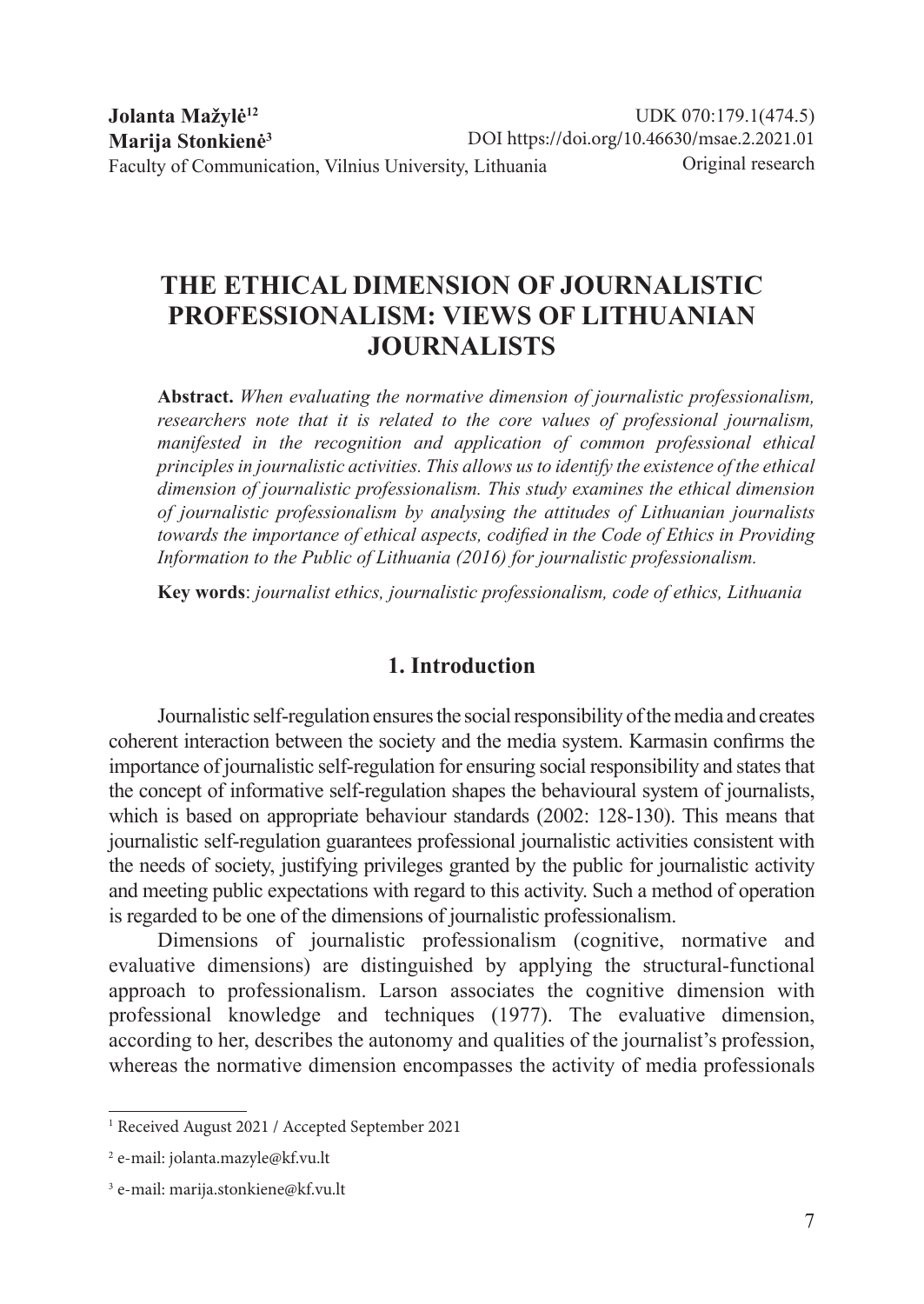# **THE ETHICAL DIMENSION OF JOURNALISTIC PROFESSIONALISM: VIEWS OF LITHUANIAN JOURNALISTS**

**Abstract.** *When evaluating the normative dimension of journalistic professionalism, researchers note that it is related to the core values of professional journalism, manifested in the recognition and application of common professional ethical principles in journalistic activities. This allows us to identify the existence of the ethical dimension of journalistic professionalism. This study examines the ethical dimension of journalistic professionalism by analysing the attitudes of Lithuanian journalists towards the importance of ethical aspects, codified in the Code of Ethics in Providing Information to the Public of Lithuania (2016) for journalistic professionalism.*

**Key words**: *journalist ethics, journalistic professionalism, code of ethics, Lithuania*

## **1. Introduction**

Journalistic self-regulation ensures the social responsibility of the media and creates coherent interaction between the society and the media system. Karmasin confirms the importance of journalistic self-regulation for ensuring social responsibility and states that the concept of informative self-regulation shapes the behavioural system of journalists, which is based on appropriate behaviour standards (2002: 128-130). This means that journalistic self-regulation guarantees professional journalistic activities consistent with the needs of society, justifying privileges granted by the public for journalistic activity and meeting public expectations with regard to this activity. Such a method of operation is regarded to be one of the dimensions of journalistic professionalism.

Dimensions of journalistic professionalism (cognitive, normative and evaluative dimensions) are distinguished by applying the structural-functional approach to professionalism. Larson associates the cognitive dimension with professional knowledge and techniques (1977). The evaluative dimension, according to her, describes the autonomy and qualities of the journalist's profession, whereas the normative dimension encompasses the activity of media professionals

<sup>1</sup> Received August 2021 / Accepted September 2021

<sup>2</sup> e-mail: jolanta.mazyle@kf.vu.lt

<sup>3</sup> e-mail: marija.stonkiene@kf.vu.lt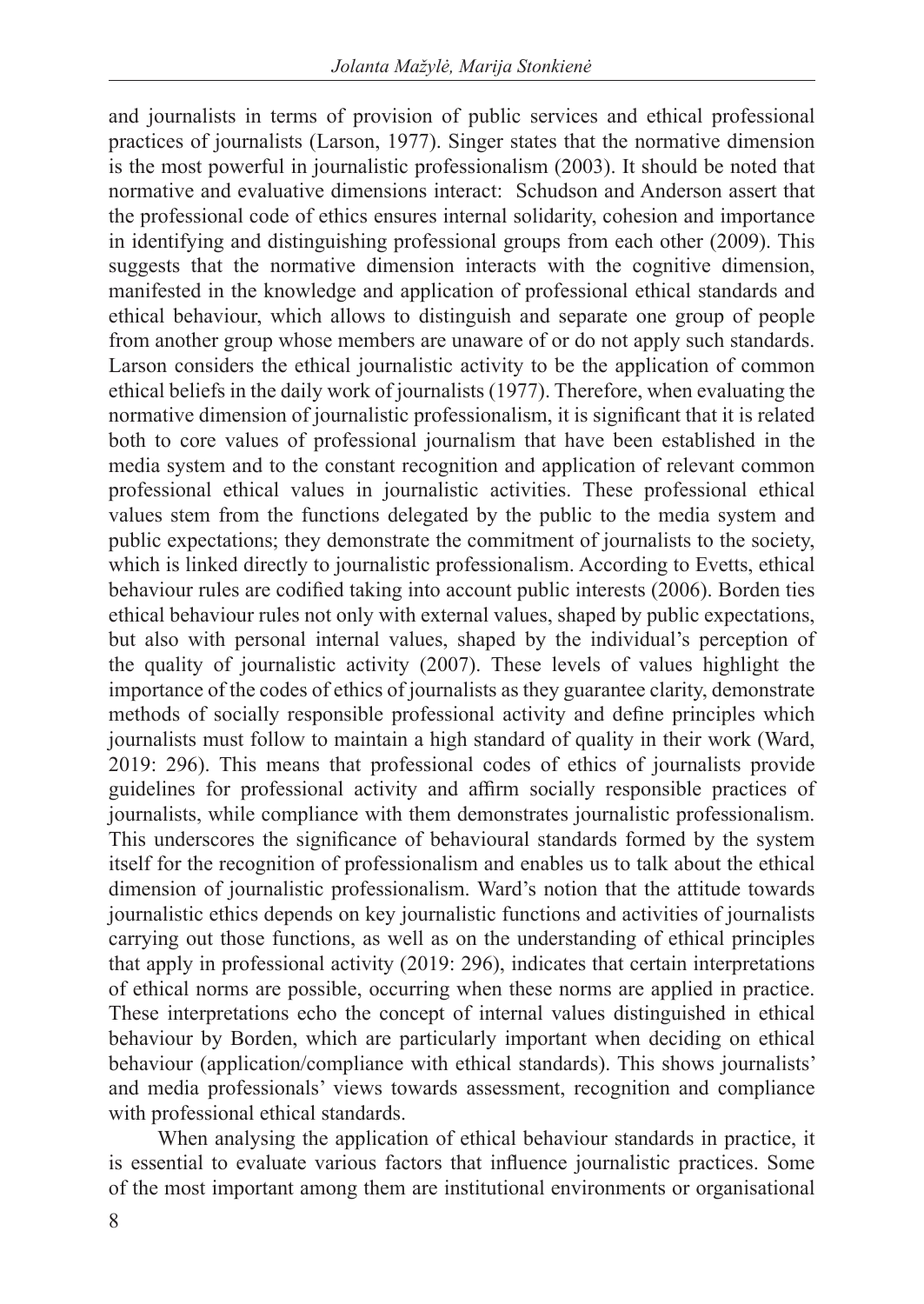and journalists in terms of provision of public services and ethical professional practices of journalists (Larson, 1977). Singer states that the normative dimension is the most powerful in journalistic professionalism (2003). It should be noted that normative and evaluative dimensions interact: Schudson and Anderson assert that the professional code of ethics ensures internal solidarity, cohesion and importance in identifying and distinguishing professional groups from each other (2009). This suggests that the normative dimension interacts with the cognitive dimension, manifested in the knowledge and application of professional ethical standards and ethical behaviour, which allows to distinguish and separate one group of people from another group whose members are unaware of or do not apply such standards. Larson considers the ethical journalistic activity to be the application of common ethical beliefs in the daily work of journalists (1977). Therefore, when evaluating the normative dimension of journalistic professionalism, it is significant that it is related both to core values of professional journalism that have been established in the media system and to the constant recognition and application of relevant common professional ethical values in journalistic activities. These professional ethical values stem from the functions delegated by the public to the media system and public expectations; they demonstrate the commitment of journalists to the society, which is linked directly to journalistic professionalism. According to Evetts, ethical behaviour rules are codified taking into account public interests (2006). Borden ties ethical behaviour rules not only with external values, shaped by public expectations, but also with personal internal values, shaped by the individual's perception of the quality of journalistic activity (2007). These levels of values highlight the importance of the codes of ethics of journalists as they guarantee clarity, demonstrate methods of socially responsible professional activity and define principles which journalists must follow to maintain a high standard of quality in their work (Ward, 2019: 296). This means that professional codes of ethics of journalists provide guidelines for professional activity and affirm socially responsible practices of journalists, while compliance with them demonstrates journalistic professionalism. This underscores the significance of behavioural standards formed by the system itself for the recognition of professionalism and enables us to talk about the ethical dimension of journalistic professionalism. Ward's notion that the attitude towards journalistic ethics depends on key journalistic functions and activities of journalists carrying out those functions, as well as on the understanding of ethical principles that apply in professional activity (2019: 296), indicates that certain interpretations of ethical norms are possible, occurring when these norms are applied in practice. These interpretations echo the concept of internal values distinguished in ethical behaviour by Borden, which are particularly important when deciding on ethical behaviour (application/compliance with ethical standards). This shows journalists' and media professionals' views towards assessment, recognition and compliance with professional ethical standards.

When analysing the application of ethical behaviour standards in practice, it is essential to evaluate various factors that influence journalistic practices. Some of the most important among them are institutional environments or organisational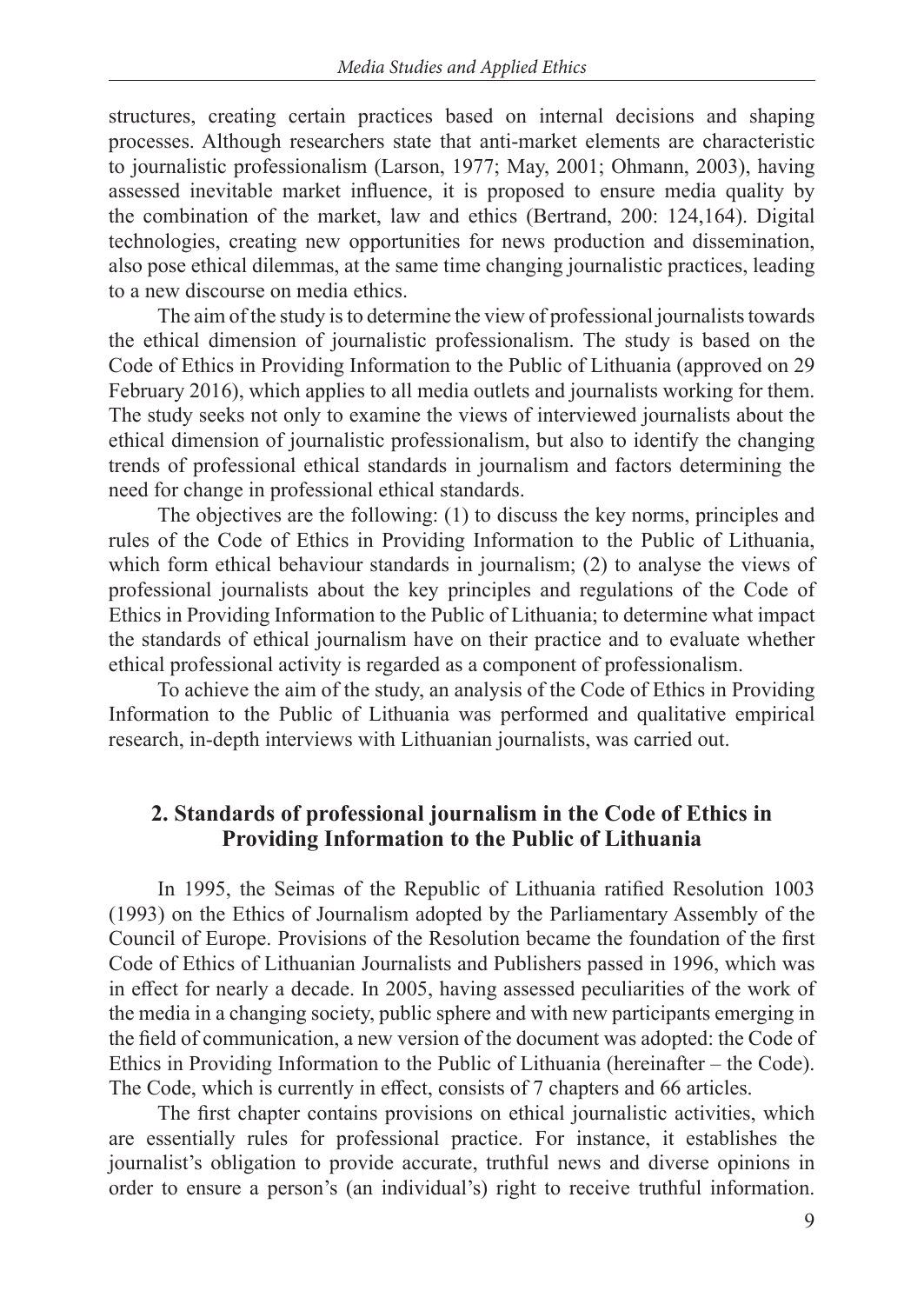structures, creating certain practices based on internal decisions and shaping processes. Although researchers state that anti-market elements are characteristic to journalistic professionalism (Larson, 1977; May, 2001; Ohmann, 2003), having assessed inevitable market influence, it is proposed to ensure media quality by the combination of the market, law and ethics (Bertrand, 200: 124,164). Digital technologies, creating new opportunities for news production and dissemination, also pose ethical dilemmas, at the same time changing journalistic practices, leading to a new discourse on media ethics.

The aim of the study is to determine the view of professional journalists towards the ethical dimension of journalistic professionalism. The study is based on the Code of Ethics in Providing Information to the Public of Lithuania (approved on 29 February 2016), which applies to all media outlets and journalists working for them. The study seeks not only to examine the views of interviewed journalists about the ethical dimension of journalistic professionalism, but also to identify the changing trends of professional ethical standards in journalism and factors determining the need for change in professional ethical standards.

The objectives are the following: (1) to discuss the key norms, principles and rules of the Code of Ethics in Providing Information to the Public of Lithuania, which form ethical behaviour standards in journalism; (2) to analyse the views of professional journalists about the key principles and regulations of the Code of Ethics in Providing Information to the Public of Lithuania; to determine what impact the standards of ethical journalism have on their practice and to evaluate whether ethical professional activity is regarded as a component of professionalism.

To achieve the aim of the study, an analysis of the Code of Ethics in Providing Information to the Public of Lithuania was performed and qualitative empirical research, in-depth interviews with Lithuanian journalists, was carried out.

### **2. Standards of professional journalism in the Code of Ethics in Providing Information to the Public of Lithuania**

In 1995, the Seimas of the Republic of Lithuania ratified Resolution 1003 (1993) on the Ethics of Journalism adopted by the Parliamentary Assembly of the Council of Europe. Provisions of the Resolution became the foundation of the first Code of Ethics of Lithuanian Journalists and Publishers passed in 1996, which was in effect for nearly a decade. In 2005, having assessed peculiarities of the work of the media in a changing society, public sphere and with new participants emerging in the field of communication, a new version of the document was adopted: the Code of Ethics in Providing Information to the Public of Lithuania (hereinafter – the Code). The Code, which is currently in effect, consists of 7 chapters and 66 articles.

The first chapter contains provisions on ethical journalistic activities, which are essentially rules for professional practice. For instance, it establishes the journalist's obligation to provide accurate, truthful news and diverse opinions in order to ensure a person's (an individual's) right to receive truthful information.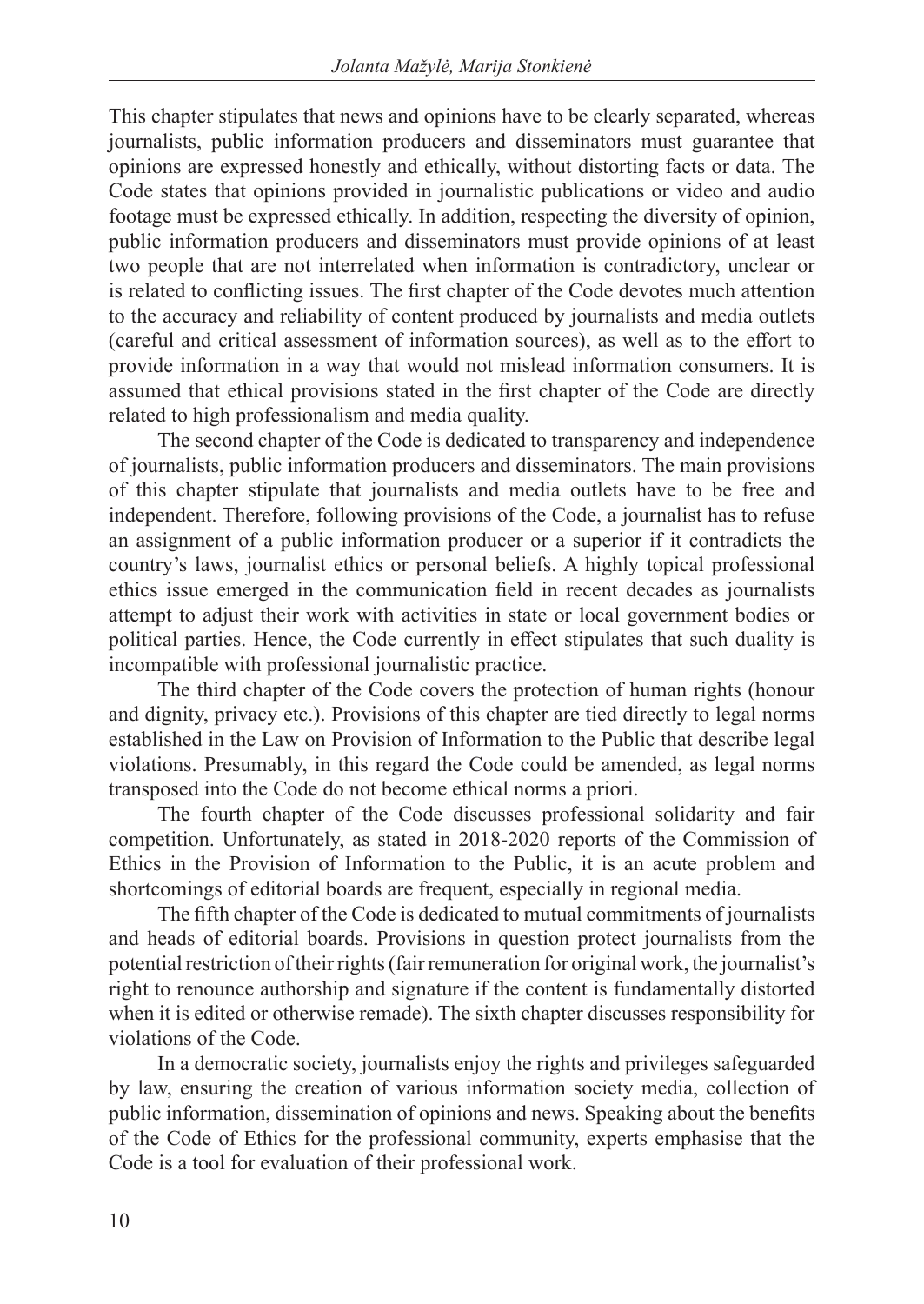This chapter stipulates that news and opinions have to be clearly separated, whereas journalists, public information producers and disseminators must guarantee that opinions are expressed honestly and ethically, without distorting facts or data. The Code states that opinions provided in journalistic publications or video and audio footage must be expressed ethically. In addition, respecting the diversity of opinion, public information producers and disseminators must provide opinions of at least two people that are not interrelated when information is contradictory, unclear or is related to conflicting issues. The first chapter of the Code devotes much attention to the accuracy and reliability of content produced by journalists and media outlets (careful and critical assessment of information sources), as well as to the effort to provide information in a way that would not mislead information consumers. It is assumed that ethical provisions stated in the first chapter of the Code are directly related to high professionalism and media quality.

The second chapter of the Code is dedicated to transparency and independence of journalists, public information producers and disseminators. The main provisions of this chapter stipulate that journalists and media outlets have to be free and independent. Therefore, following provisions of the Code, a journalist has to refuse an assignment of a public information producer or a superior if it contradicts the country's laws, journalist ethics or personal beliefs. A highly topical professional ethics issue emerged in the communication field in recent decades as journalists attempt to adjust their work with activities in state or local government bodies or political parties. Hence, the Code currently in effect stipulates that such duality is incompatible with professional journalistic practice.

The third chapter of the Code covers the protection of human rights (honour and dignity, privacy etc.). Provisions of this chapter are tied directly to legal norms established in the Law on Provision of Information to the Public that describe legal violations. Presumably, in this regard the Code could be amended, as legal norms transposed into the Code do not become ethical norms a priori.

The fourth chapter of the Code discusses professional solidarity and fair competition. Unfortunately, as stated in 2018-2020 reports of the Commission of Ethics in the Provision of Information to the Public, it is an acute problem and shortcomings of editorial boards are frequent, especially in regional media.

The fifth chapter of the Code is dedicated to mutual commitments of journalists and heads of editorial boards. Provisions in question protect journalists from the potential restriction of their rights (fair remuneration for original work, the journalist's right to renounce authorship and signature if the content is fundamentally distorted when it is edited or otherwise remade). The sixth chapter discusses responsibility for violations of the Code.

In a democratic society, journalists enjoy the rights and privileges safeguarded by law, ensuring the creation of various information society media, collection of public information, dissemination of opinions and news. Speaking about the benefits of the Code of Ethics for the professional community, experts emphasise that the Code is a tool for evaluation of their professional work.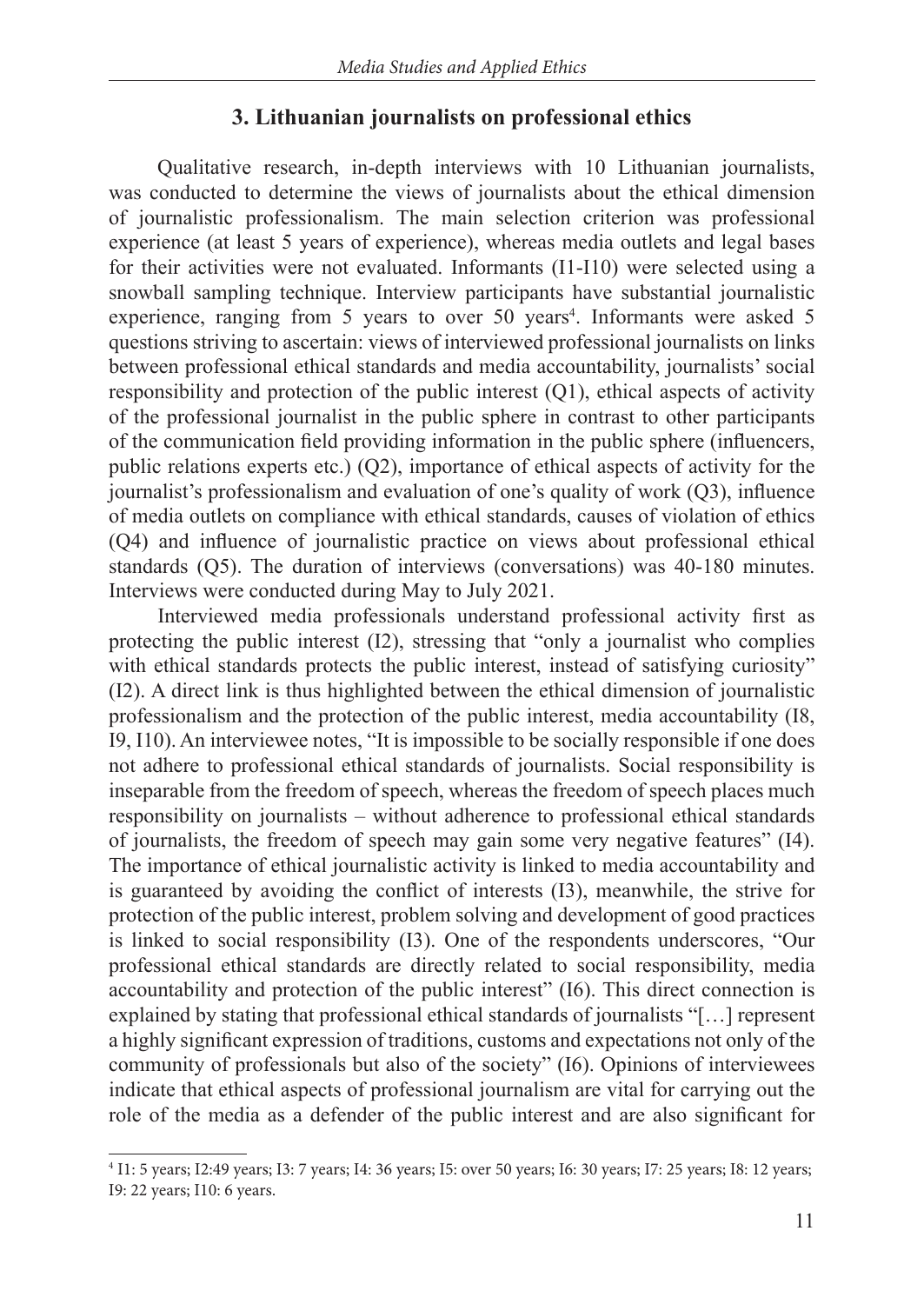#### **3. Lithuanian journalists on professional ethics**

Qualitative research, in-depth interviews with 10 Lithuanian journalists, was conducted to determine the views of journalists about the ethical dimension of journalistic professionalism. The main selection criterion was professional experience (at least 5 years of experience), whereas media outlets and legal bases for their activities were not evaluated. Informants (I1-I10) were selected using a snowball sampling technique. Interview participants have substantial journalistic experience, ranging from 5 years to over 50 years<sup>4</sup>. Informants were asked 5 questions striving to ascertain: views of interviewed professional journalists on links between professional ethical standards and media accountability, journalists' social responsibility and protection of the public interest (Q1), ethical aspects of activity of the professional journalist in the public sphere in contrast to other participants of the communication field providing information in the public sphere (influencers, public relations experts etc.) (Q2), importance of ethical aspects of activity for the journalist's professionalism and evaluation of one's quality of work (Q3), influence of media outlets on compliance with ethical standards, causes of violation of ethics (Q4) and influence of journalistic practice on views about professional ethical standards (Q5). The duration of interviews (conversations) was 40-180 minutes. Interviews were conducted during May to July 2021.

Interviewed media professionals understand professional activity first as protecting the public interest (I2), stressing that "only a journalist who complies with ethical standards protects the public interest, instead of satisfying curiosity" (I2). A direct link is thus highlighted between the ethical dimension of journalistic professionalism and the protection of the public interest, media accountability (I8, I9, I10). An interviewee notes, "It is impossible to be socially responsible if one does not adhere to professional ethical standards of journalists. Social responsibility is inseparable from the freedom of speech, whereas the freedom of speech places much responsibility on journalists – without adherence to professional ethical standards of journalists, the freedom of speech may gain some very negative features" (I4). The importance of ethical journalistic activity is linked to media accountability and is guaranteed by avoiding the conflict of interests (I3), meanwhile, the strive for protection of the public interest, problem solving and development of good practices is linked to social responsibility (I3). One of the respondents underscores, "Our professional ethical standards are directly related to social responsibility, media accountability and protection of the public interest" (I6). This direct connection is explained by stating that professional ethical standards of journalists "[…] represent a highly significant expression of traditions, customs and expectations not only of the community of professionals but also of the society" (I6). Opinions of interviewees indicate that ethical aspects of professional journalism are vital for carrying out the role of the media as a defender of the public interest and are also significant for

<sup>4</sup> I1: 5 years; I2:49 years; I3: 7 years; I4: 36 years; I5: over 50 years; I6: 30 years; I7: 25 years; I8: 12 years; I9: 22 years; I10: 6 years.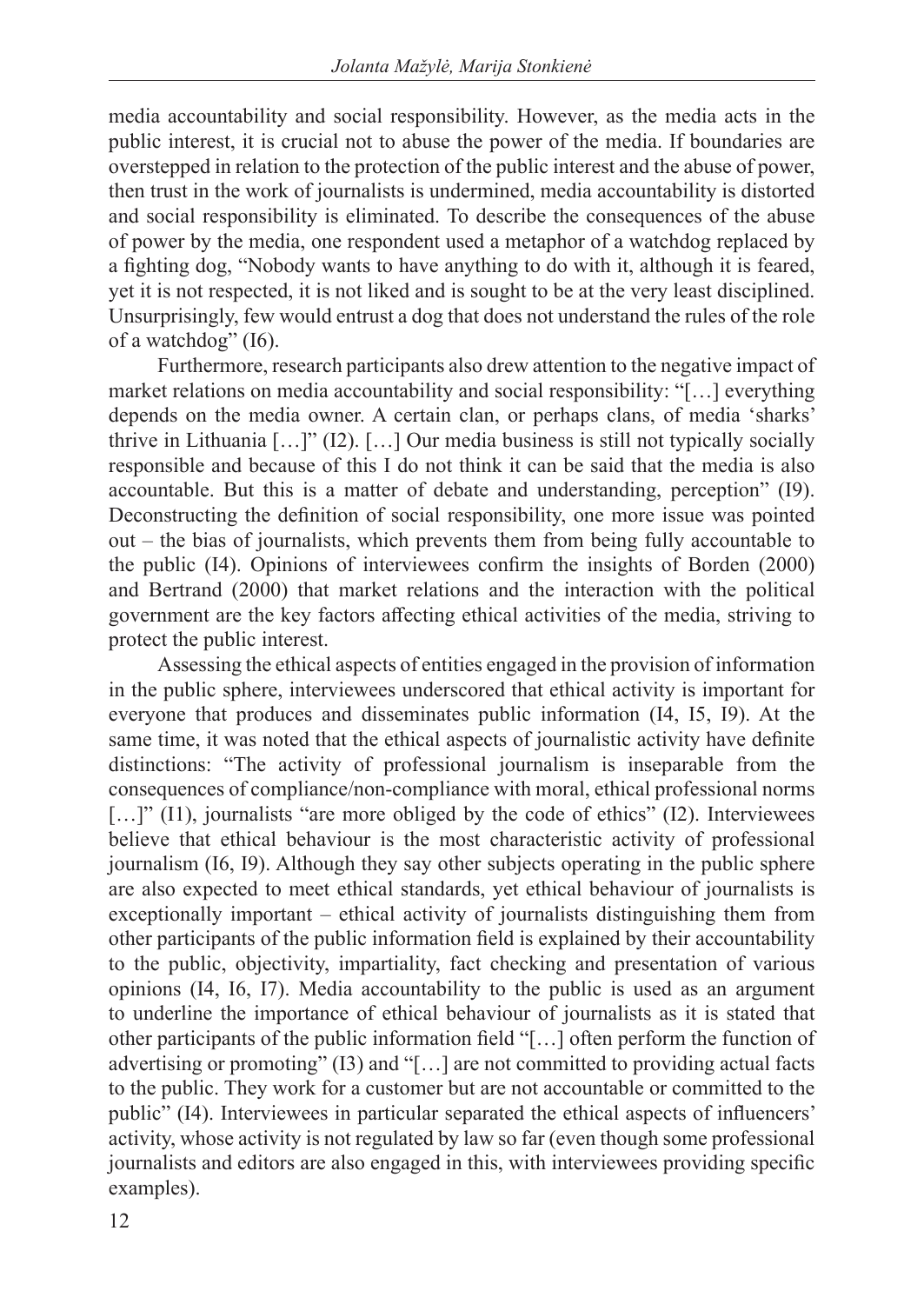media accountability and social responsibility. However, as the media acts in the public interest, it is crucial not to abuse the power of the media. If boundaries are overstepped in relation to the protection of the public interest and the abuse of power, then trust in the work of journalists is undermined, media accountability is distorted and social responsibility is eliminated. To describe the consequences of the abuse of power by the media, one respondent used a metaphor of a watchdog replaced by a fighting dog, "Nobody wants to have anything to do with it, although it is feared, yet it is not respected, it is not liked and is sought to be at the very least disciplined. Unsurprisingly, few would entrust a dog that does not understand the rules of the role of a watchdog" (I6).

Furthermore, research participants also drew attention to the negative impact of market relations on media accountability and social responsibility: "[…] everything depends on the media owner. A certain clan, or perhaps clans, of media 'sharks' thrive in Lithuania […]" (I2). […] Our media business is still not typically socially responsible and because of this I do not think it can be said that the media is also accountable. But this is a matter of debate and understanding, perception" (I9). Deconstructing the definition of social responsibility, one more issue was pointed out – the bias of journalists, which prevents them from being fully accountable to the public (I4). Opinions of interviewees confirm the insights of Borden (2000) and Bertrand (2000) that market relations and the interaction with the political government are the key factors affecting ethical activities of the media, striving to protect the public interest.

Assessing the ethical aspects of entities engaged in the provision of information in the public sphere, interviewees underscored that ethical activity is important for everyone that produces and disseminates public information (I4, I5, I9). At the same time, it was noted that the ethical aspects of journalistic activity have definite distinctions: "The activity of professional journalism is inseparable from the consequences of compliance/non-compliance with moral, ethical professional norms [...]" (I1), journalists "are more obliged by the code of ethics" (I2). Interviewees believe that ethical behaviour is the most characteristic activity of professional journalism (I6, I9). Although they say other subjects operating in the public sphere are also expected to meet ethical standards, yet ethical behaviour of journalists is exceptionally important – ethical activity of journalists distinguishing them from other participants of the public information field is explained by their accountability to the public, objectivity, impartiality, fact checking and presentation of various opinions (I4, I6, I7). Media accountability to the public is used as an argument to underline the importance of ethical behaviour of journalists as it is stated that other participants of the public information field "[…] often perform the function of advertising or promoting" (I3) and "[…] are not committed to providing actual facts to the public. They work for a customer but are not accountable or committed to the public" (I4). Interviewees in particular separated the ethical aspects of influencers' activity, whose activity is not regulated by law so far (even though some professional journalists and editors are also engaged in this, with interviewees providing specific examples).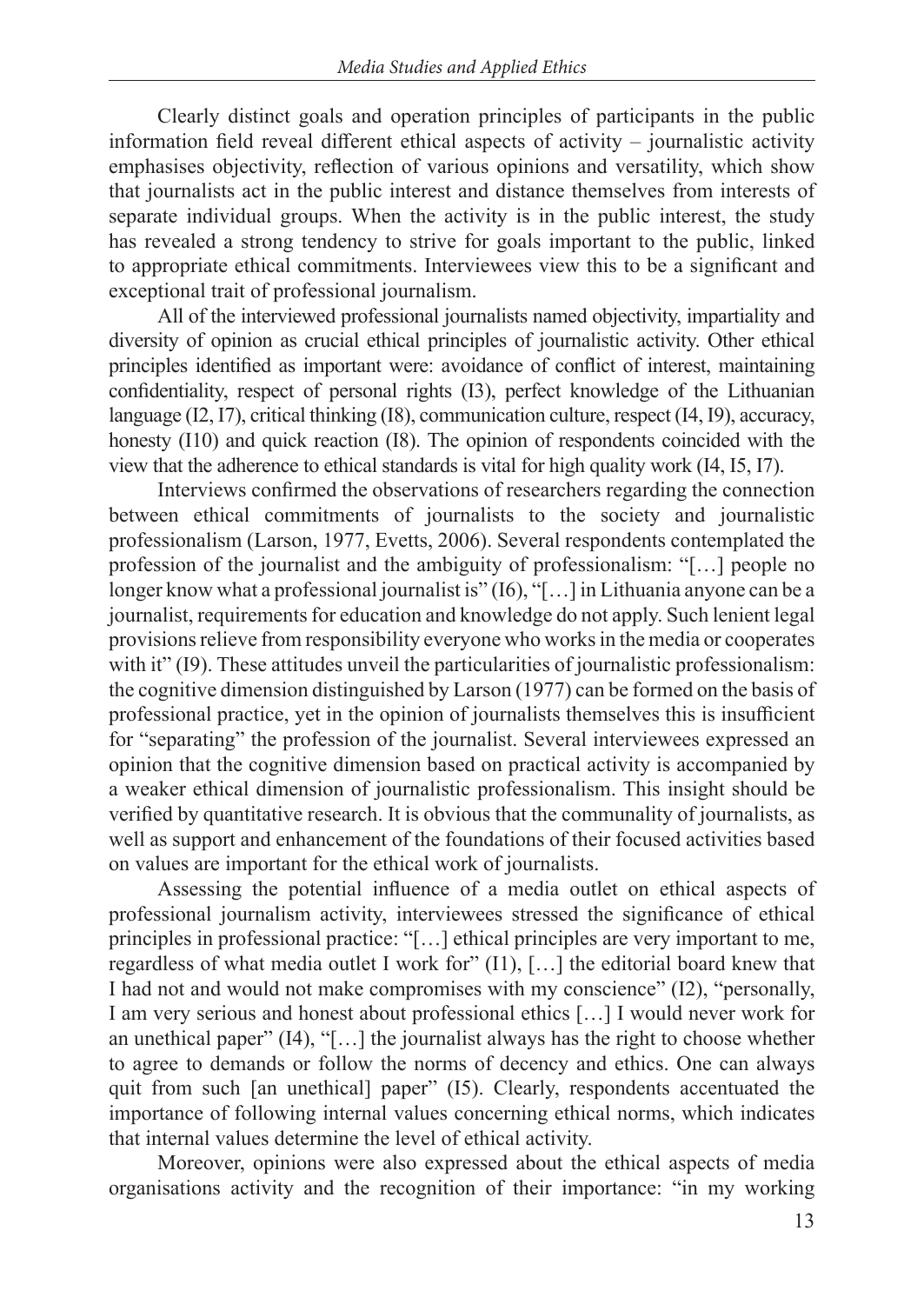Clearly distinct goals and operation principles of participants in the public information field reveal different ethical aspects of activity – journalistic activity emphasises objectivity, reflection of various opinions and versatility, which show that journalists act in the public interest and distance themselves from interests of separate individual groups. When the activity is in the public interest, the study has revealed a strong tendency to strive for goals important to the public, linked to appropriate ethical commitments. Interviewees view this to be a significant and exceptional trait of professional journalism.

All of the interviewed professional journalists named objectivity, impartiality and diversity of opinion as crucial ethical principles of journalistic activity. Other ethical principles identified as important were: avoidance of conflict of interest, maintaining confidentiality, respect of personal rights (I3), perfect knowledge of the Lithuanian language (I2, I7), critical thinking (I8), communication culture, respect (I4, I9), accuracy, honesty (I10) and quick reaction (I8). The opinion of respondents coincided with the view that the adherence to ethical standards is vital for high quality work (I4, I5, I7).

Interviews confirmed the observations of researchers regarding the connection between ethical commitments of journalists to the society and journalistic professionalism (Larson, 1977, Evetts, 2006). Several respondents contemplated the profession of the journalist and the ambiguity of professionalism: "[…] people no longer know what a professional journalist is" (I6), "[...] in Lithuania anyone can be a journalist, requirements for education and knowledge do not apply. Such lenient legal provisions relieve from responsibility everyone who works in the media or cooperates with it" (I9). These attitudes unveil the particularities of journalistic professionalism: the cognitive dimension distinguished by Larson (1977) can be formed on the basis of professional practice, yet in the opinion of journalists themselves this is insufficient for "separating" the profession of the journalist. Several interviewees expressed an opinion that the cognitive dimension based on practical activity is accompanied by a weaker ethical dimension of journalistic professionalism. This insight should be verified by quantitative research. It is obvious that the communality of journalists, as well as support and enhancement of the foundations of their focused activities based on values are important for the ethical work of journalists.

Assessing the potential influence of a media outlet on ethical aspects of professional journalism activity, interviewees stressed the significance of ethical principles in professional practice: "[…] ethical principles are very important to me, regardless of what media outlet I work for" (I1), […] the editorial board knew that I had not and would not make compromises with my conscience" (I2), "personally, I am very serious and honest about professional ethics […] I would never work for an unethical paper" (I4), "[…] the journalist always has the right to choose whether to agree to demands or follow the norms of decency and ethics. One can always quit from such [an unethical] paper" (I5). Clearly, respondents accentuated the importance of following internal values concerning ethical norms, which indicates that internal values determine the level of ethical activity.

Moreover, opinions were also expressed about the ethical aspects of media organisations activity and the recognition of their importance: "in my working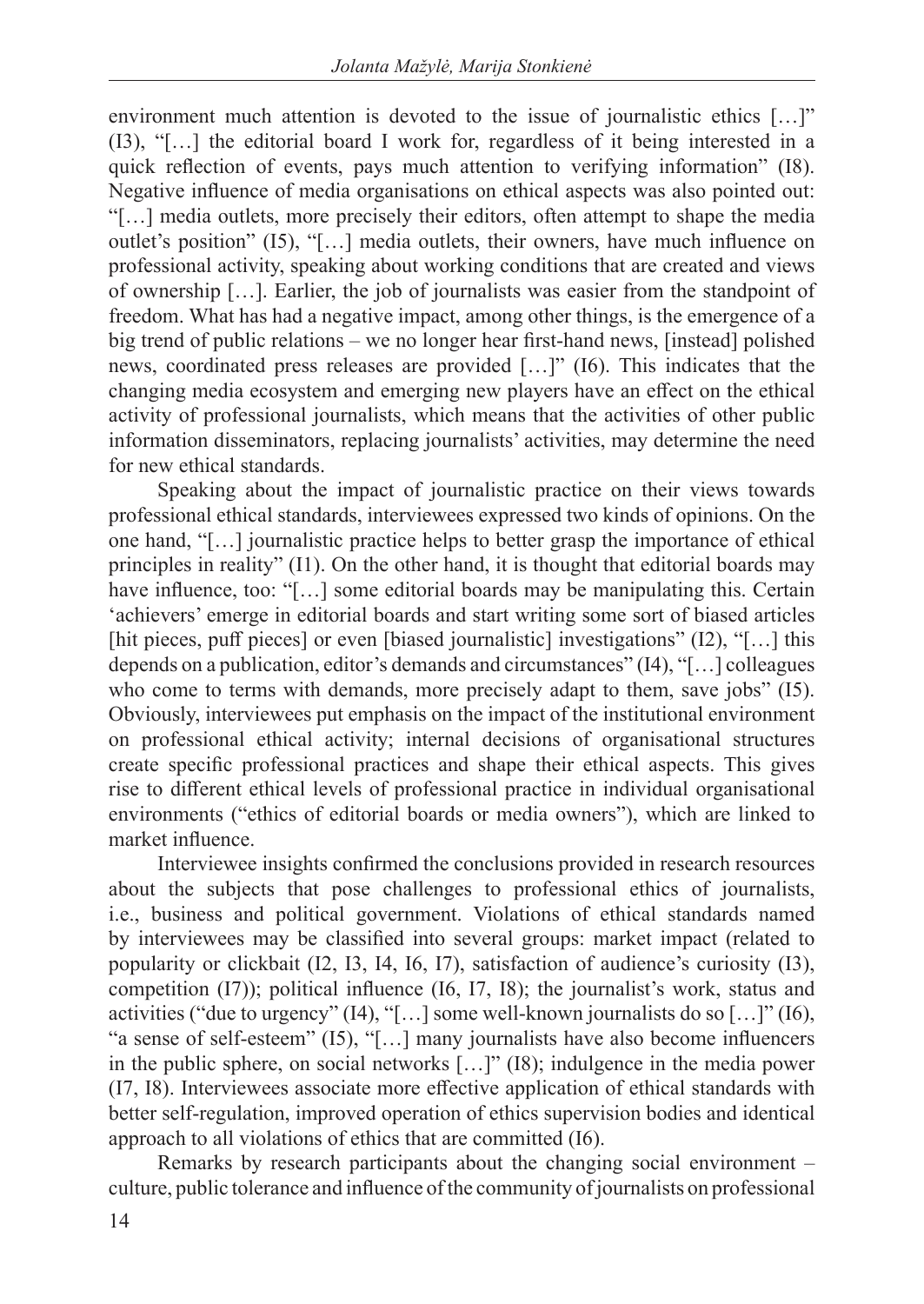environment much attention is devoted to the issue of journalistic ethics [...]" (I3), "[…] the editorial board I work for, regardless of it being interested in a quick reflection of events, pays much attention to verifying information" (I8). Negative influence of media organisations on ethical aspects was also pointed out: "[…] media outlets, more precisely their editors, often attempt to shape the media outlet's position" (I5), "[…] media outlets, their owners, have much influence on professional activity, speaking about working conditions that are created and views of ownership […]. Earlier, the job of journalists was easier from the standpoint of freedom. What has had a negative impact, among other things, is the emergence of a big trend of public relations – we no longer hear first-hand news, [instead] polished news, coordinated press releases are provided […]" (I6). This indicates that the changing media ecosystem and emerging new players have an effect on the ethical activity of professional journalists, which means that the activities of other public information disseminators, replacing journalists' activities, may determine the need for new ethical standards.

Speaking about the impact of journalistic practice on their views towards professional ethical standards, interviewees expressed two kinds of opinions. On the one hand, "[…] journalistic practice helps to better grasp the importance of ethical principles in reality" (I1). On the other hand, it is thought that editorial boards may have influence, too: "[...] some editorial boards may be manipulating this. Certain 'achievers' emerge in editorial boards and start writing some sort of biased articles [hit pieces, puff pieces] or even [biased journalistic] investigations" (I2), "[...] this depends on a publication, editor's demands and circumstances" (I4), "[…] colleagues who come to terms with demands, more precisely adapt to them, save jobs" (I5). Obviously, interviewees put emphasis on the impact of the institutional environment on professional ethical activity; internal decisions of organisational structures create specific professional practices and shape their ethical aspects. This gives rise to different ethical levels of professional practice in individual organisational environments ("ethics of editorial boards or media owners"), which are linked to market influence.

Interviewee insights confirmed the conclusions provided in research resources about the subjects that pose challenges to professional ethics of journalists, i.e., business and political government. Violations of ethical standards named by interviewees may be classified into several groups: market impact (related to popularity or clickbait (I2, I3, I4, I6, I7), satisfaction of audience's curiosity (I3), competition (I7)); political influence (I6, I7, I8); the journalist's work, status and activities ("due to urgency" (I4), "[…] some well-known journalists do so […]" (I6), "a sense of self-esteem" (I5), "[…] many journalists have also become influencers in the public sphere, on social networks […]" (I8); indulgence in the media power (I7, I8). Interviewees associate more effective application of ethical standards with better self-regulation, improved operation of ethics supervision bodies and identical approach to all violations of ethics that are committed (I6).

Remarks by research participants about the changing social environment – culture, public tolerance and influence of the community of journalists on professional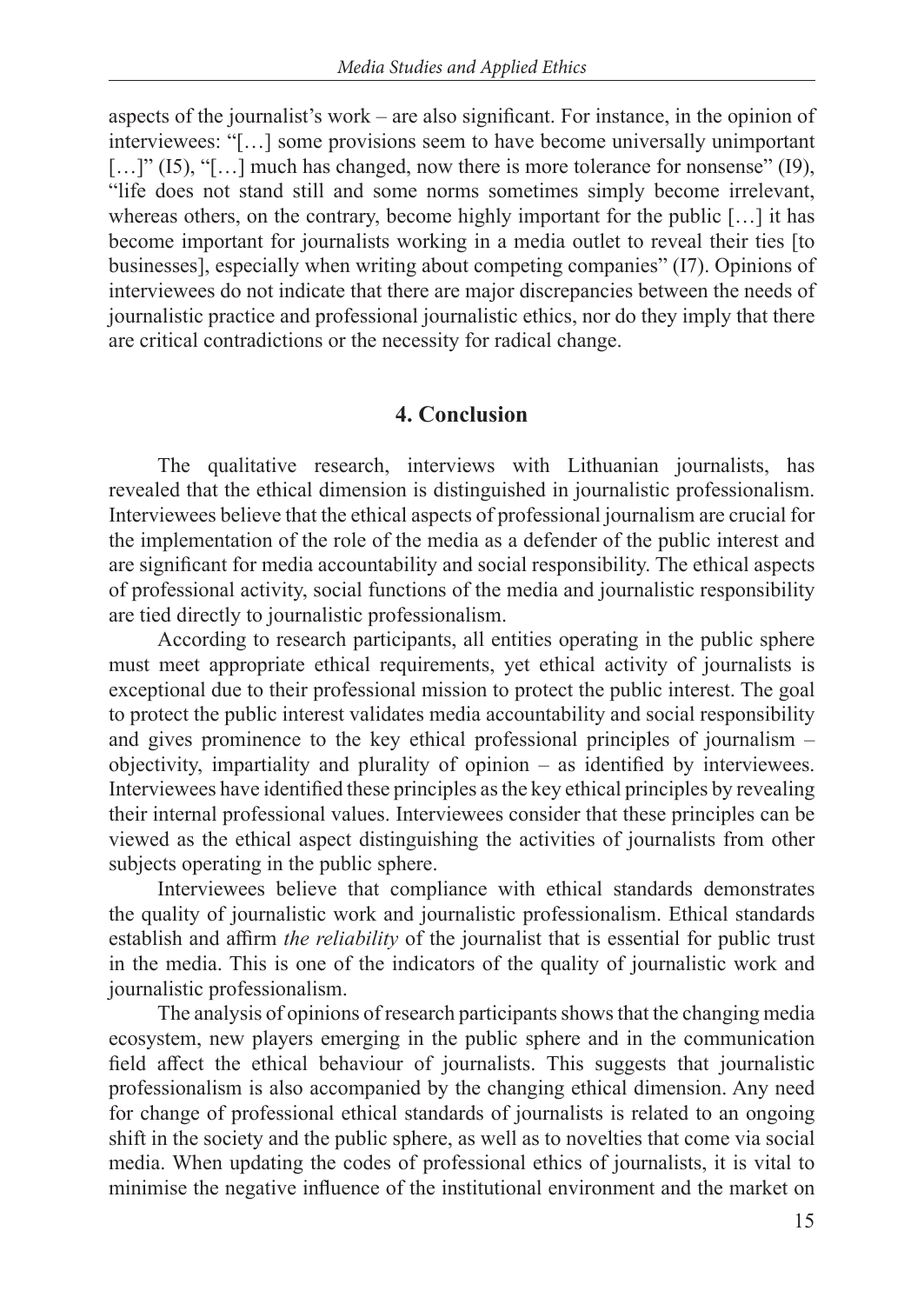aspects of the journalist's work – are also significant. For instance, in the opinion of interviewees: "[…] some provisions seem to have become universally unimportant  $[\dots]$ " (I5), "[ $\dots$ ] much has changed, now there is more tolerance for nonsense" (I9), "life does not stand still and some norms sometimes simply become irrelevant, whereas others, on the contrary, become highly important for the public [...] it has become important for journalists working in a media outlet to reveal their ties [to businesses], especially when writing about competing companies" (I7). Opinions of interviewees do not indicate that there are major discrepancies between the needs of journalistic practice and professional journalistic ethics, nor do they imply that there are critical contradictions or the necessity for radical change.

#### **4. Conclusion**

The qualitative research, interviews with Lithuanian journalists, has revealed that the ethical dimension is distinguished in journalistic professionalism. Interviewees believe that the ethical aspects of professional journalism are crucial for the implementation of the role of the media as a defender of the public interest and are significant for media accountability and social responsibility. The ethical aspects of professional activity, social functions of the media and journalistic responsibility are tied directly to journalistic professionalism.

According to research participants, all entities operating in the public sphere must meet appropriate ethical requirements, yet ethical activity of journalists is exceptional due to their professional mission to protect the public interest. The goal to protect the public interest validates media accountability and social responsibility and gives prominence to the key ethical professional principles of journalism – objectivity, impartiality and plurality of opinion – as identified by interviewees. Interviewees have identified these principles as the key ethical principles by revealing their internal professional values. Interviewees consider that these principles can be viewed as the ethical aspect distinguishing the activities of journalists from other subjects operating in the public sphere.

Interviewees believe that compliance with ethical standards demonstrates the quality of journalistic work and journalistic professionalism. Ethical standards establish and affirm *the reliability* of the journalist that is essential for public trust in the media. This is one of the indicators of the quality of journalistic work and journalistic professionalism.

The analysis of opinions of research participants shows that the changing media ecosystem, new players emerging in the public sphere and in the communication field affect the ethical behaviour of journalists. This suggests that journalistic professionalism is also accompanied by the changing ethical dimension. Any need for change of professional ethical standards of journalists is related to an ongoing shift in the society and the public sphere, as well as to novelties that come via social media. When updating the codes of professional ethics of journalists, it is vital to minimise the negative influence of the institutional environment and the market on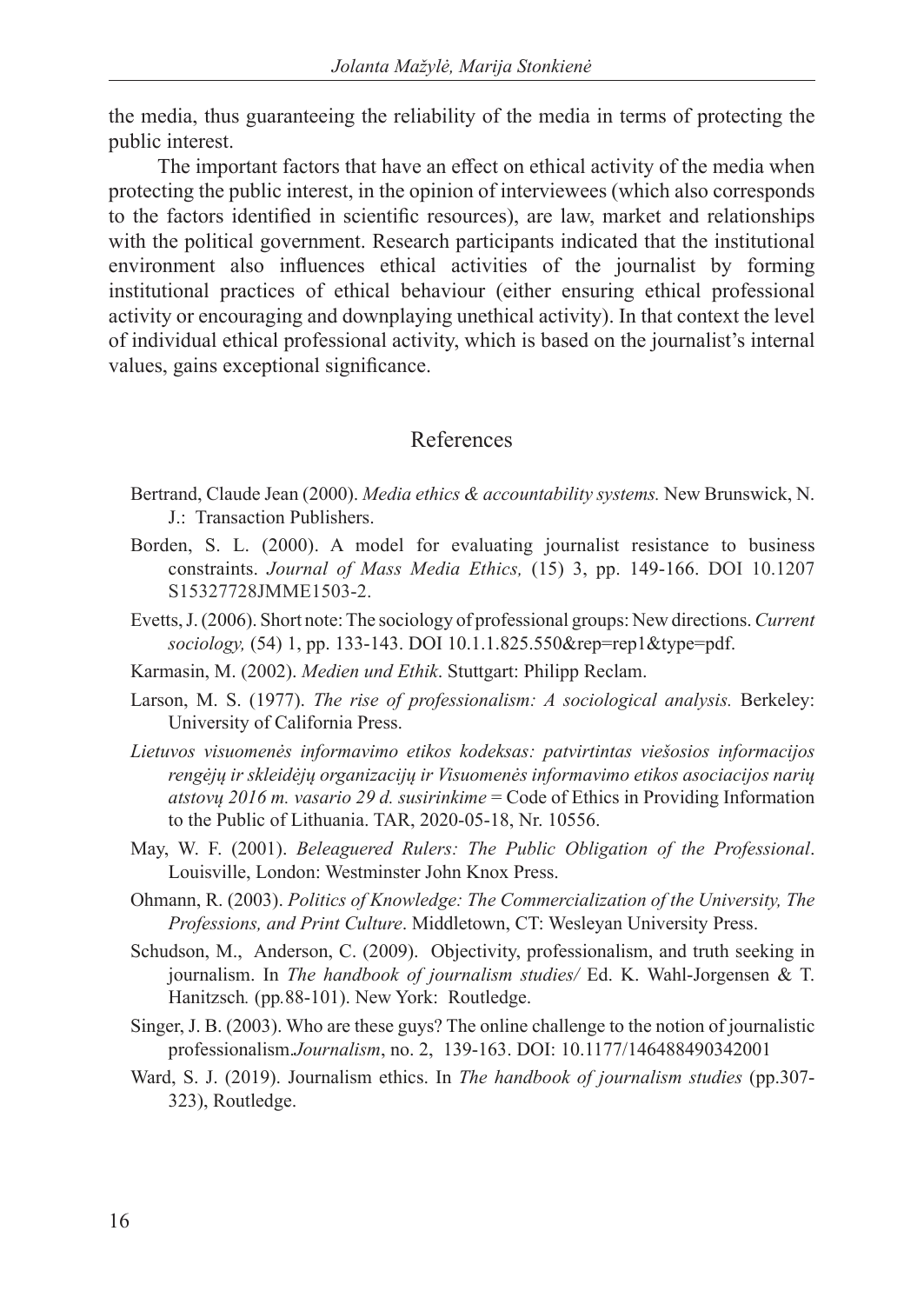the media, thus guaranteeing the reliability of the media in terms of protecting the public interest.

The important factors that have an effect on ethical activity of the media when protecting the public interest, in the opinion of interviewees (which also corresponds to the factors identified in scientific resources), are law, market and relationships with the political government. Research participants indicated that the institutional environment also influences ethical activities of the journalist by forming institutional practices of ethical behaviour (either ensuring ethical professional activity or encouraging and downplaying unethical activity). In that context the level of individual ethical professional activity, which is based on the journalist's internal values, gains exceptional significance.

### References

- Bertrand, Claude Jean (2000). *Media ethics & accountability systems.* New Brunswick, N. J.: Transaction Publishers.
- Borden, S. L. (2000). A model for evaluating journalist resistance to business constraints. *Journal of Mass Media Ethics,* (15) 3, pp. 149-166. DOI 10.1207 S15327728JMME1503-2.
- Evetts, J. (2006). Short note: The sociology of professional groups: New directions.*Current sociology,* (54) 1, pp. 133-143. DOI 10.1.1.825.550&rep=rep1&type=pdf.
- Karmasin, M. (2002). *Medien und Ethik*. Stuttgart: Philipp Reclam.
- Larson, M. S. (1977). *The rise of professionalism: A sociological analysis.* Berkeley: University of California Press.
- *Lietuvos visuomenės informavimo etikos kodeksas: patvirtintas viešosios informacijos rengėjų ir skleidėjų organizacijų ir Visuomenės informavimo etikos asociacijos narių atstovų 2016 m. vasario 29 d. susirinkime* = Code of Ethics in Providing Information to the Public of Lithuania. TAR, 2020-05-18, Nr. 10556.
- May, W. F. (2001). *Beleaguered Rulers: The Public Obligation of the Professional*. Louisville, London: Westminster John Knox Press.
- Ohmann, R. (2003). *Politics of Knowledge: The Commercialization of the University, The Professions, and Print Culture*. Middletown, CT: Wesleyan University Press.
- Schudson, M., Anderson, C. (2009). Objectivity, professionalism, and truth seeking in journalism. In *The handbook of journalism studies/* Ed. K. Wahl-Jorgensen & T. Hanitzsch*.* (pp*.*88-101). New York: Routledge.
- Singer, J. B. (2003). Who are these guys? The online challenge to the notion of journalistic professionalism.*Journalism*, no. 2, 139-163. DOI: 10.1177/146488490342001
- Ward, S. J. (2019). Journalism ethics. In *The handbook of journalism studies* (pp.307- 323), Routledge.